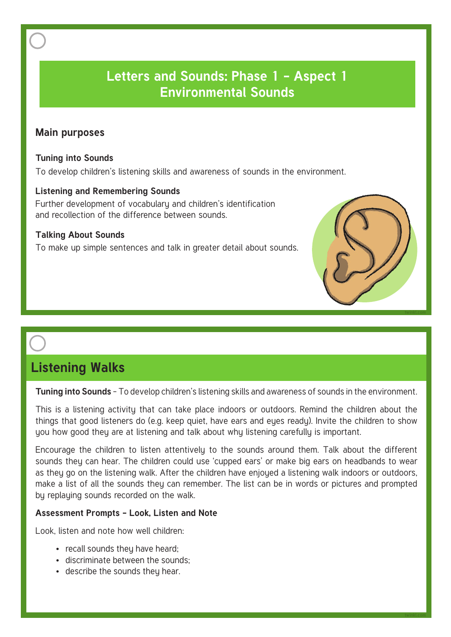### **Letters and Sounds: Phase 1 - Aspect 1 Environmental Sounds Letters and Sounds: Phase 1 - Aspect 1 Environmental Sounds**

### **Main purposes**

### **Tuning into Sounds**

To develop children's listening skills and awareness of sounds in the environment.

### **Listening and Remembering Sounds**

Further development of vocabulary and children's identification and recollection of the difference between sounds.

### **Talking About Sounds**

To make up simple sentences and talk in greater detail about sounds.



### **Listening Walks**

**Tuning into Sounds** - To develop children's listening skills and awareness of sounds in the environment.

This is a listening activity that can take place indoors or outdoors. Remind the children about the things that good listeners do (e.g. keep quiet, have ears and eues ready). Invite the children to show you how good they are at listening and talk about why listening carefully is important.

Encourage the children to listen attentively to the sounds around them. Talk about the different sounds they can hear. The children could use 'cupped ears' or make big ears on headbands to wear as they go on the listening walk. After the children have enjoyed a listening walk indoors or outdoors, make a list of all the sounds they can remember. The list can be in words or pictures and prompted by replaying sounds recorded on the walk.

### **Assessment Prompts - Look, Listen and Note**

- recall sounds they have heard;
- discriminate between the sounds;
- describe the sounds they hear.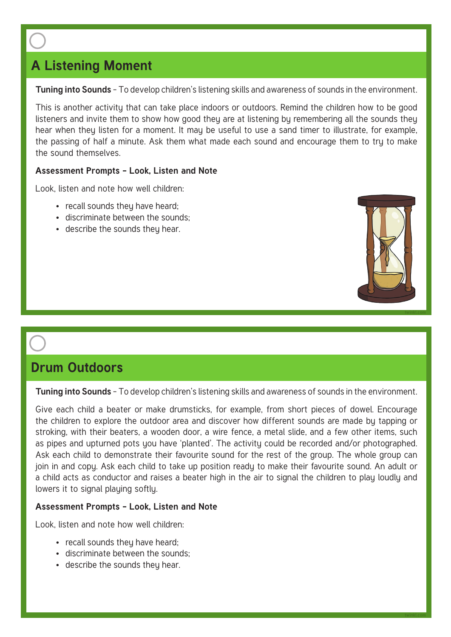# **A Listening Moment**

**Tuning into Sounds** - To develop children's listening skills and awareness of sounds in the environment.

This is another activity that can take place indoors or outdoors. Remind the children how to be good listeners and invite them to show how good they are at listening by remembering all the sounds they hear when they listen for a moment. It may be useful to use a sand timer to illustrate, for example, the passing of half a minute. Ask them what made each sound and encourage them to try to make the sound themselves.

### **Assessment Prompts - Look, Listen and Note**

Look, listen and note how well children:

- recall sounds they have heard;
- discriminate between the sounds;
- describe the sounds they hear.



# **Drum Outdoors**

**Tuning into Sounds** - To develop children's listening skills and awareness of sounds in the environment.

Give each child a beater or make drumsticks, for example, from short pieces of dowel. Encourage the children to explore the outdoor area and discover how different sounds are made by tapping or stroking, with their beaters, a wooden door, a wire fence, a metal slide, and a few other items, such as pipes and upturned pots you have 'planted'. The activity could be recorded and/or photographed. Ask each child to demonstrate their favourite sound for the rest of the group. The whole group can join in and copy. Ask each child to take up position ready to make their favourite sound. An adult or a child acts as conductor and raises a beater high in the air to signal the children to play loudly and lowers it to signal playing softly.

### **Assessment Prompts - Look, Listen and Note**

- recall sounds they have heard:
- discriminate between the sounds;
- describe the sounds they hear.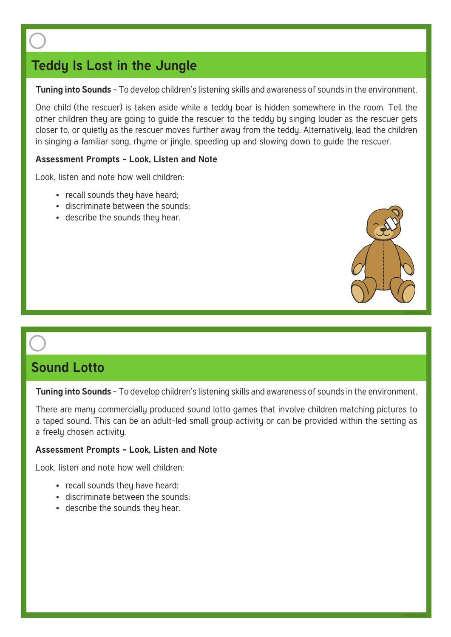# **Teddy Is Lost in the Jungle**

**Tuning into Sounds** - To develop children's listening skills and awareness of sounds in the environment.

One child (the rescuer) is taken aside while a teddy bear is hidden somewhere in the room. Tell the other children they are going to guide the rescuer to the teddy by singing louder as the rescuer gets closer to, or quietly as the rescuer moves further away from the teddy. Alternatively, lead the children in singing a familiar song, rhyme or jingle, speeding up and slowing down to guide the rescuer.

### **Assessment Prompts - Look, Listen and Note**

Look, listen and note how well children:

- recall sounds they have heard;
- discriminate between the sounds;
- describe the sounds they hear.



### **Sound Lotto**

**Tuning into Sounds** - To develop children's listening skills and awareness of sounds in the environment.

There are many commercially produced sound lotto games that involve children matching pictures to a taped sound. This can be an adult-led small group activity or can be provided within the setting as a freely chosen activity.

### **Assessment Prompts - Look, Listen and Note**

- $\bullet$  recall sounds they have heard:
- discriminate between the sounds;
- describe the sounds they hear.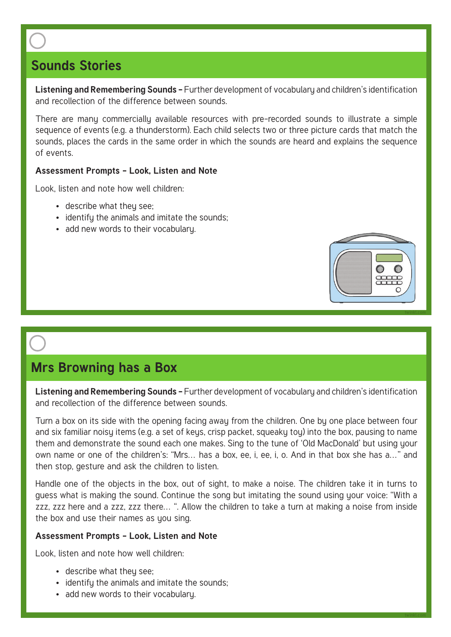# **Sounds Stories**

**Listening and Remembering Sounds - Further development of vocabulary and children's identification** and recollection of the difference between sounds.

There are many commercially available resources with pre-recorded sounds to illustrate a simple sequence of events (e.g. a thunderstorm). Each child selects two or three picture cards that match the sounds, places the cards in the same order in which the sounds are heard and explains the sequence of events.

### **Assessment Prompts - Look, Listen and Note**

Look, listen and note how well children:

- describe what they see;
- identify the animals and imitate the sounds;
- add new words to their vocabulary.



### **Mrs Browning has a Box**

**Listening and Remembering Sounds - Further development of vocabulary and children's identification** and recollection of the difference between sounds.

Turn a box on its side with the opening facing away from the children. One by one place between four and six familiar noisy items (e.g. a set of keys, crisp packet, squeaky toy) into the box, pausing to name them and demonstrate the sound each one makes. Sing to the tune of 'Old MacDonald' but using your own name or one of the children's: "Mrs… has a box, ee, i, ee, i, o. And in that box she has a…" and then stop, gesture and ask the children to listen.

Handle one of the objects in the box, out of sight, to make a noise. The children take it in turns to guess what is making the sound. Continue the song but imitating the sound using your voice: "With a zzz, zzz here and a zzz, zzz there… ". Allow the children to take a turn at making a noise from inside the box and use their names as you sing.

### **Assessment Prompts - Look, Listen and Note**

- describe what they see;
- identify the animals and imitate the sounds;
- add new words to their vocabulary.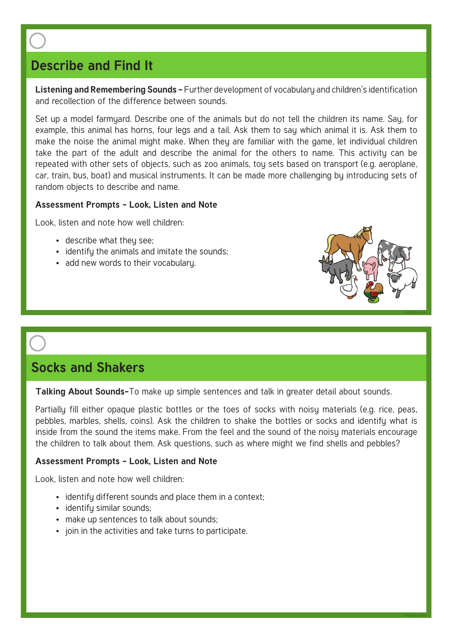# **Describe and Find It**

**Listening and Remembering Sounds - Further development of vocabulary and children's identification** and recollection of the difference between sounds.

Set up a model farmyard. Describe one of the animals but do not tell the children its name. Say, for example, this animal has horns, four legs and a tail. Ask them to say which animal it is. Ask them to make the noise the animal might make. When they are familiar with the game, let individual children take the part of the adult and describe the animal for the others to name. This activity can be repeated with other sets of objects, such as zoo animals, toy sets based on transport (e.g. aeroplane, car, train, bus, boat) and musical instruments. It can be made more challenging by introducing sets of random objects to describe and name.

### **Assessment Prompts - Look, Listen and Note**

Look, listen and note how well children:

- describe what they see;
- identify the animals and imitate the sounds;
- add new words to their vocabulary.



**twinkl.com**

### **Socks and Shakers**

**Talking About Sounds-**To make up simple sentences and talk in greater detail about sounds.

Partially fill either opaque plastic bottles or the toes of socks with noisy materials (e.g. rice, peas, pebbles, marbles, shells, coins). Ask the children to shake the bottles or socks and identify what is inside from the sound the items make. From the feel and the sound of the noisy materials encourage the children to talk about them. Ask questions, such as where might we find shells and pebbles?

### **Assessment Prompts - Look, Listen and Note**

- identify different sounds and place them in a context;
- identifu similar sounds:
- make up sentences to talk about sounds;
- join in the activities and take turns to participate.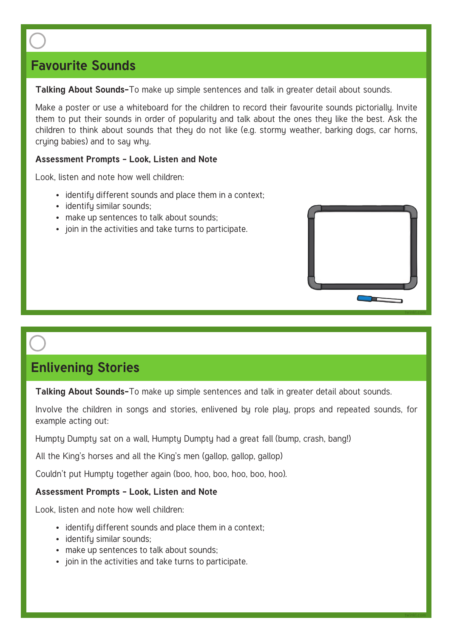## **Favourite Sounds**

**Talking About Sounds-**To make up simple sentences and talk in greater detail about sounds.

Make a poster or use a whiteboard for the children to record their favourite sounds pictorially. Invite them to put their sounds in order of popularity and talk about the ones they like the best. Ask the children to think about sounds that they do not like (e.g. stormy weather, barking dogs, car horns, crying babies) and to say why.

### **Assessment Prompts - Look, Listen and Note**

Look, listen and note how well children:

- identify different sounds and place them in a context;
- identifu similar sounds;
- make up sentences to talk about sounds;
- join in the activities and take turns to participate.



**twinkl.com**

## **Enlivening Stories**

**Talking About Sounds-**To make up simple sentences and talk in greater detail about sounds.

Involve the children in songs and stories, enlivened by role play, props and repeated sounds, for example acting out:

Humpty Dumpty sat on a wall, Humpty Dumpty had a great fall (bump, crash, bang!)

All the King's horses and all the King's men (gallop, gallop, gallop)

Couldn't put Humpty together again (boo, hoo, boo, hoo, boo, hoo).

### **Assessment Prompts - Look, Listen and Note**

- identify different sounds and place them in a context;
- identifu similar sounds:
- make up sentences to talk about sounds;
- join in the activities and take turns to participate.